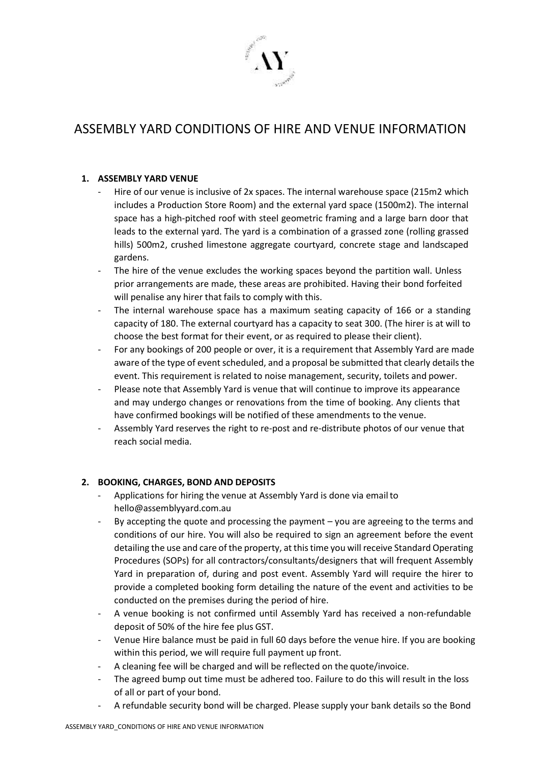

# ASSEMBLY YARD CONDITIONS OF HIRE AND VENUE INFORMATION

## **1. ASSEMBLY YARD VENUE**

- Hire of our venue is inclusive of 2x spaces. The internal warehouse space (215m2 which includes a Production Store Room) and the external yard space (1500m2). The internal space has a high-pitched roof with steel geometric framing and a large barn door that leads to the external yard. The yard is a combination of a grassed zone (rolling grassed hills) 500m2, crushed limestone aggregate courtyard, concrete stage and landscaped gardens.
- The hire of the venue excludes the working spaces beyond the partition wall. Unless prior arrangements are made, these areas are prohibited. Having their bond forfeited will penalise any hirer that fails to comply with this.
- The internal warehouse space has a maximum seating capacity of 166 or a standing capacity of 180. The external courtyard has a capacity to seat 300. (The hirer is at will to choose the best format for their event, or as required to please their client).
- For any bookings of 200 people or over, it is a requirement that Assembly Yard are made aware of the type of event scheduled, and a proposal be submitted that clearly details the event. This requirement is related to noise management, security, toilets and power.
- Please note that Assembly Yard is venue that will continue to improve its appearance and may undergo changes or renovations from the time of booking. Any clients that have confirmed bookings will be notified of these amendments to the venue.
- Assembly Yard reserves the right to re-post and re-distribute photos of our venue that reach social media.

# **2. BOOKING, CHARGES, BOND AND DEPOSITS**

- Applications for hiring the venue at Assembly Yard is done via email to [hello@assemblyyard.com.au](mailto:assemblyyard@gmail.com)
- By accepting the quote and processing the payment you are agreeing to the terms and conditions of our hire. You will also be required to sign an agreement before the event detailing the use and care of the property, at this time you will receive Standard Operating Procedures (SOPs) for all contractors/consultants/designers that will frequent Assembly Yard in preparation of, during and post event. Assembly Yard will require the hirer to provide a completed booking form detailing the nature of the event and activities to be conducted on the premises during the period of hire.
- A venue booking is not confirmed until Assembly Yard has received a non-refundable deposit of 50% of the hire fee plus GST.
- Venue Hire balance must be paid in full 60 days before the venue hire. If you are booking within this period, we will require full payment up front.
- A cleaning fee will be charged and will be reflected on the quote/invoice.
- The agreed bump out time must be adhered too. Failure to do this will result in the loss of all or part of your bond.
- A refundable security bond will be charged. Please supply your bank details so the Bond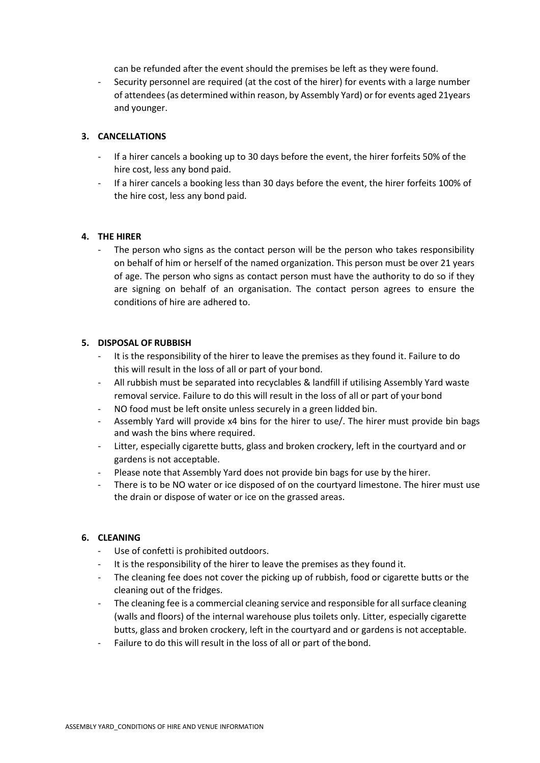can be refunded after the event should the premises be left as they were found.

Security personnel are required (at the cost of the hirer) for events with a large number of attendees (as determined within reason, by Assembly Yard) or for events aged 21years and younger.

## **3. CANCELLATIONS**

- If a hirer cancels a booking up to 30 days before the event, the hirer forfeits 50% of the hire cost, less any bond paid.
- If a hirer cancels a booking less than 30 days before the event, the hirer forfeits 100% of the hire cost, less any bond paid.

## **4. THE HIRER**

The person who signs as the contact person will be the person who takes responsibility on behalf of him or herself of the named organization. This person must be over 21 years of age. The person who signs as contact person must have the authority to do so if they are signing on behalf of an organisation. The contact person agrees to ensure the conditions of hire are adhered to.

## **5. DISPOSAL OF RUBBISH**

- It is the responsibility of the hirer to leave the premises as they found it. Failure to do this will result in the loss of all or part of your bond.
- All rubbish must be separated into recyclables & landfill if utilising Assembly Yard waste removal service. Failure to do this will result in the loss of all or part of your bond
- NO food must be left onsite unless securely in a green lidded bin.
- Assembly Yard will provide x4 bins for the hirer to use/. The hirer must provide bin bags and wash the bins where required.
- Litter, especially cigarette butts, glass and broken crockery, left in the courtyard and or gardens is not acceptable.
- Please note that Assembly Yard does not provide bin bags for use by the hirer.
- There is to be NO water or ice disposed of on the courtyard limestone. The hirer must use the drain or dispose of water or ice on the grassed areas.

## **6. CLEANING**

- Use of confetti is prohibited outdoors.
- It is the responsibility of the hirer to leave the premises as they found it.
- The cleaning fee does not cover the picking up of rubbish, food or cigarette butts or the cleaning out of the fridges.
- The cleaning fee is a commercial cleaning service and responsible for all surface cleaning (walls and floors) of the internal warehouse plus toilets only. Litter, especially cigarette butts, glass and broken crockery, left in the courtyard and or gardens is not acceptable.
- Failure to do this will result in the loss of all or part of the bond.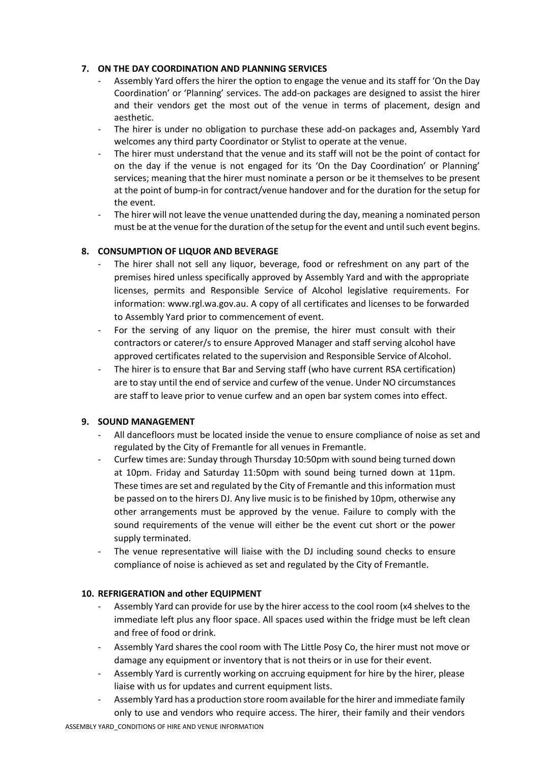## **7. ON THE DAY COORDINATION AND PLANNING SERVICES**

- Assembly Yard offers the hirer the option to engage the venue and its staff for 'On the Day Coordination' or 'Planning' services. The add-on packages are designed to assist the hirer and their vendors get the most out of the venue in terms of placement, design and aesthetic.
- The hirer is under no obligation to purchase these add-on packages and, Assembly Yard welcomes any third party Coordinator or Stylist to operate at the venue.
- The hirer must understand that the venue and its staff will not be the point of contact for on the day if the venue is not engaged for its 'On the Day Coordination' or Planning' services; meaning that the hirer must nominate a person or be it themselves to be present at the point of bump-in for contract/venue handover and for the duration for the setup for the event.
- The hirer will not leave the venue unattended during the day, meaning a nominated person must be at the venue for the duration of the setup for the event and until such event begins.

## **8. CONSUMPTION OF LIQUOR AND BEVERAGE**

- The hirer shall not sell any liquor, beverage, food or refreshment on any part of the premises hired unless specifically approved by Assembly Yard and with the appropriate licenses, permits and Responsible Service of Alcohol legislative requirements. For information: [www.rgl.wa.gov.au.](http://www.rgl.wa.gov.au/) A copy of all certificates and licenses to be forwarded to Assembly Yard prior to commencement of event.
- For the serving of any liquor on the premise, the hirer must consult with their contractors or caterer/s to ensure Approved Manager and staff serving alcohol have approved certificates related to the supervision and Responsible Service of Alcohol.
- The hirer is to ensure that Bar and Serving staff (who have current RSA certification) are to stay until the end of service and curfew of the venue. Under NO circumstances are staff to leave prior to venue curfew and an open bar system comes into effect.

## **9. SOUND MANAGEMENT**

- All dancefloors must be located inside the venue to ensure compliance of noise as set and regulated by the City of Fremantle for all venues in Fremantle.
- Curfew times are: Sunday through Thursday 10:50pm with sound being turned down at 10pm. Friday and Saturday 11:50pm with sound being turned down at 11pm. These times are set and regulated by the City of Fremantle and this information must be passed on to the hirers DJ. Any live music is to be finished by 10pm, otherwise any other arrangements must be approved by the venue. Failure to comply with the sound requirements of the venue will either be the event cut short or the power supply terminated.
- The venue representative will liaise with the DJ including sound checks to ensure compliance of noise is achieved as set and regulated by the City of Fremantle.

## **10. REFRIGERATION and other EQUIPMENT**

- Assembly Yard can provide for use by the hirer access to the cool room (x4 shelves to the immediate left plus any floor space. All spaces used within the fridge must be left clean and free of food or drink.
- Assembly Yard shares the cool room with The Little Posy Co, the hirer must not move or damage any equipment or inventory that is not theirs or in use for their event.
- Assembly Yard is currently working on accruing equipment for hire by the hirer, please liaise with us for updates and current equipment lists.
- Assembly Yard has a production store room available for the hirer and immediate family only to use and vendors who require access. The hirer, their family and their vendors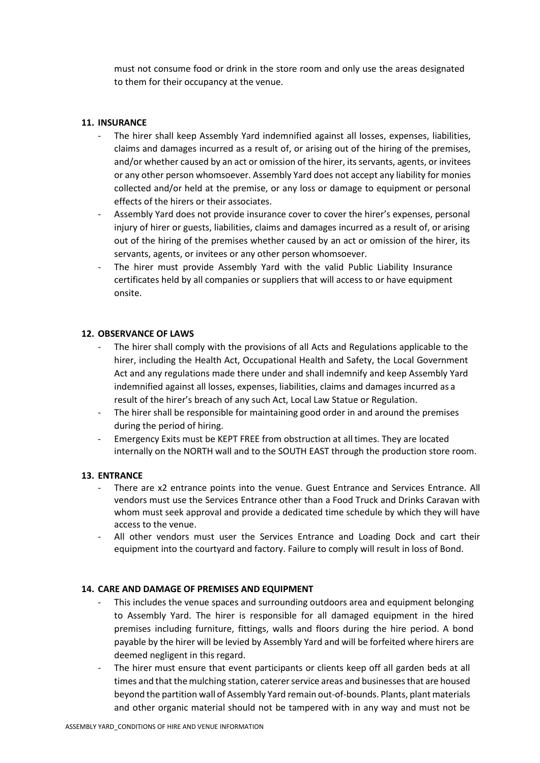must not consume food or drink in the store room and only use the areas designated to them for their occupancy at the venue.

## **11. INSURANCE**

- The hirer shall keep Assembly Yard indemnified against all losses, expenses, liabilities, claims and damages incurred as a result of, or arising out of the hiring of the premises, and/or whether caused by an act or omission of the hirer, its servants, agents, or invitees or any other person whomsoever. Assembly Yard does not accept any liability for monies collected and/or held at the premise, or any loss or damage to equipment or personal effects of the hirers or their associates.
- Assembly Yard does not provide insurance cover to cover the hirer's expenses, personal injury of hirer or guests, liabilities, claims and damages incurred as a result of, or arising out of the hiring of the premises whether caused by an act or omission of the hirer, its servants, agents, or invitees or any other person whomsoever.
- The hirer must provide Assembly Yard with the valid Public Liability Insurance certificates held by all companies or suppliers that will access to or have equipment onsite.

## **12. OBSERVANCE OF LAWS**

- The hirer shall comply with the provisions of all Acts and Regulations applicable to the hirer, including the Health Act, Occupational Health and Safety, the Local Government Act and any regulations made there under and shall indemnify and keep Assembly Yard indemnified against all losses, expenses, liabilities, claims and damages incurred as a result of the hirer's breach of any such Act, Local Law Statue or Regulation.
- The hirer shall be responsible for maintaining good order in and around the premises during the period of hiring.
- Emergency Exits must be KEPT FREE from obstruction at all times. They are located internally on the NORTH wall and to the SOUTH EAST through the production store room.

## **13. ENTRANCE**

- There are x2 entrance points into the venue. Guest Entrance and Services Entrance. All vendors must use the Services Entrance other than a Food Truck and Drinks Caravan with whom must seek approval and provide a dedicated time schedule by which they will have access to the venue.
- All other vendors must user the Services Entrance and Loading Dock and cart their equipment into the courtyard and factory. Failure to comply will result in loss of Bond.

## **14. CARE AND DAMAGE OF PREMISES AND EQUIPMENT**

- This includes the venue spaces and surrounding outdoors area and equipment belonging to Assembly Yard. The hirer is responsible for all damaged equipment in the hired premises including furniture, fittings, walls and floors during the hire period. A bond payable by the hirer will be levied by Assembly Yard and will be forfeited where hirers are deemed negligent in this regard.
- The hirer must ensure that event participants or clients keep off all garden beds at all times and that the mulching station, caterer service areas and businesses that are housed beyond the partition wall of Assembly Yard remain out-of-bounds. Plants, plant materials and other organic material should not be tampered with in any way and must not be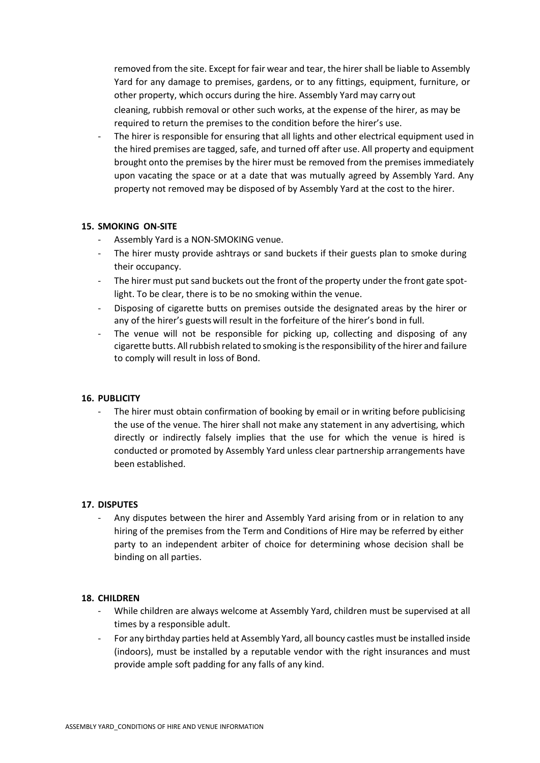removed from the site. Except for fair wear and tear, the hirer shall be liable to Assembly Yard for any damage to premises, gardens, or to any fittings, equipment, furniture, or other property, which occurs during the hire. Assembly Yard may carry out cleaning, rubbish removal or other such works, at the expense of the hirer, as may be required to return the premises to the condition before the hirer's use.

The hirer is responsible for ensuring that all lights and other electrical equipment used in the hired premises are tagged, safe, and turned off after use. All property and equipment brought onto the premises by the hirer must be removed from the premises immediately upon vacating the space or at a date that was mutually agreed by Assembly Yard. Any property not removed may be disposed of by Assembly Yard at the cost to the hirer.

## **15. SMOKING ON-SITE**

- Assembly Yard is a NON-SMOKING venue.
- The hirer musty provide ashtrays or sand buckets if their guests plan to smoke during their occupancy.
- The hirer must put sand buckets out the front of the property under the front gate spotlight. To be clear, there is to be no smoking within the venue.
- Disposing of cigarette butts on premises outside the designated areas by the hirer or any of the hirer's guestswill result in the forfeiture of the hirer's bond in full.
- The venue will not be responsible for picking up, collecting and disposing of any cigarette butts. All rubbish related to smoking is the responsibility of the hirer and failure to comply will result in loss of Bond.

## **16. PUBLICITY**

The hirer must obtain confirmation of booking by email or in writing before publicising the use of the venue. The hirer shall not make any statement in any advertising, which directly or indirectly falsely implies that the use for which the venue is hired is conducted or promoted by Assembly Yard unless clear partnership arrangements have been established.

## **17. DISPUTES**

Any disputes between the hirer and Assembly Yard arising from or in relation to any hiring of the premises from the Term and Conditions of Hire may be referred by either party to an independent arbiter of choice for determining whose decision shall be binding on all parties.

## **18. CHILDREN**

- While children are always welcome at Assembly Yard, children must be supervised at all times by a responsible adult.
- For any birthday parties held at Assembly Yard, all bouncy castles must be installed inside (indoors), must be installed by a reputable vendor with the right insurances and must provide ample soft padding for any falls of any kind.